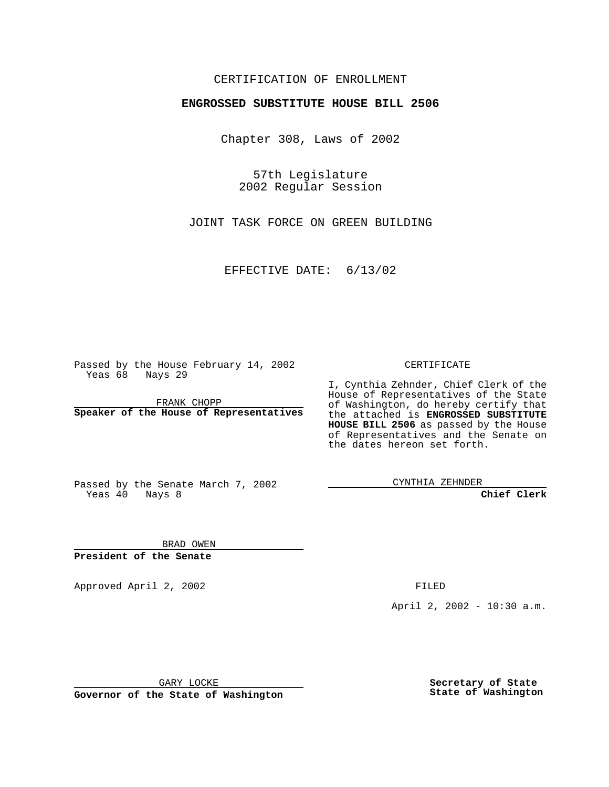#### CERTIFICATION OF ENROLLMENT

# **ENGROSSED SUBSTITUTE HOUSE BILL 2506**

Chapter 308, Laws of 2002

57th Legislature 2002 Regular Session

JOINT TASK FORCE ON GREEN BUILDING

EFFECTIVE DATE: 6/13/02

Passed by the House February 14, 2002 Yeas 68 Nays 29

FRANK CHOPP **Speaker of the House of Representatives** CERTIFICATE

I, Cynthia Zehnder, Chief Clerk of the House of Representatives of the State of Washington, do hereby certify that the attached is **ENGROSSED SUBSTITUTE HOUSE BILL 2506** as passed by the House of Representatives and the Senate on the dates hereon set forth.

Passed by the Senate March 7, 2002 Yeas 40 Nays 8

CYNTHIA ZEHNDER

**Chief Clerk**

BRAD OWEN **President of the Senate**

Approved April 2, 2002 **FILED** 

April 2, 2002 - 10:30 a.m.

GARY LOCKE

**Governor of the State of Washington**

**Secretary of State State of Washington**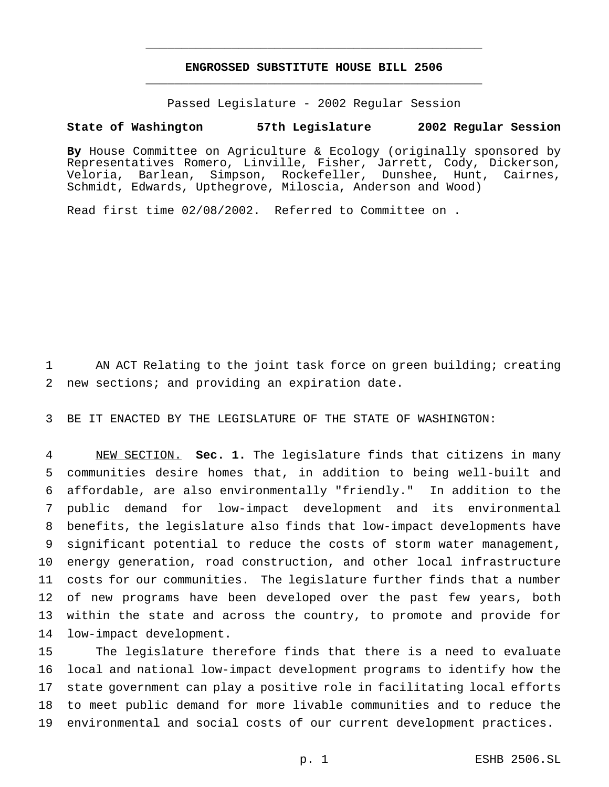## **ENGROSSED SUBSTITUTE HOUSE BILL 2506** \_\_\_\_\_\_\_\_\_\_\_\_\_\_\_\_\_\_\_\_\_\_\_\_\_\_\_\_\_\_\_\_\_\_\_\_\_\_\_\_\_\_\_\_\_\_\_

\_\_\_\_\_\_\_\_\_\_\_\_\_\_\_\_\_\_\_\_\_\_\_\_\_\_\_\_\_\_\_\_\_\_\_\_\_\_\_\_\_\_\_\_\_\_\_

Passed Legislature - 2002 Regular Session

#### **State of Washington 57th Legislature 2002 Regular Session**

**By** House Committee on Agriculture & Ecology (originally sponsored by Representatives Romero, Linville, Fisher, Jarrett, Cody, Dickerson, Veloria, Barlean, Simpson, Rockefeller, Dunshee, Hunt, Cairnes, Schmidt, Edwards, Upthegrove, Miloscia, Anderson and Wood)

Read first time 02/08/2002. Referred to Committee on .

 AN ACT Relating to the joint task force on green building; creating new sections; and providing an expiration date.

BE IT ENACTED BY THE LEGISLATURE OF THE STATE OF WASHINGTON:

 NEW SECTION. **Sec. 1.** The legislature finds that citizens in many communities desire homes that, in addition to being well-built and affordable, are also environmentally "friendly." In addition to the public demand for low-impact development and its environmental benefits, the legislature also finds that low-impact developments have significant potential to reduce the costs of storm water management, energy generation, road construction, and other local infrastructure costs for our communities. The legislature further finds that a number of new programs have been developed over the past few years, both within the state and across the country, to promote and provide for low-impact development.

 The legislature therefore finds that there is a need to evaluate local and national low-impact development programs to identify how the state government can play a positive role in facilitating local efforts to meet public demand for more livable communities and to reduce the environmental and social costs of our current development practices.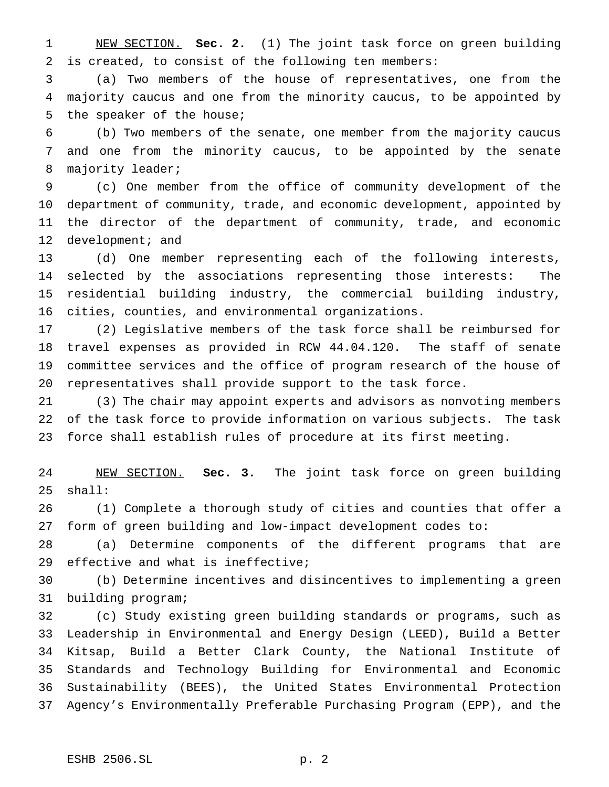NEW SECTION. **Sec. 2.** (1) The joint task force on green building is created, to consist of the following ten members:

 (a) Two members of the house of representatives, one from the majority caucus and one from the minority caucus, to be appointed by the speaker of the house;

 (b) Two members of the senate, one member from the majority caucus and one from the minority caucus, to be appointed by the senate 8 majority leader;

 (c) One member from the office of community development of the department of community, trade, and economic development, appointed by the director of the department of community, trade, and economic 12 development; and

 (d) One member representing each of the following interests, selected by the associations representing those interests: The residential building industry, the commercial building industry, cities, counties, and environmental organizations.

 (2) Legislative members of the task force shall be reimbursed for travel expenses as provided in RCW 44.04.120. The staff of senate committee services and the office of program research of the house of representatives shall provide support to the task force.

 (3) The chair may appoint experts and advisors as nonvoting members of the task force to provide information on various subjects. The task force shall establish rules of procedure at its first meeting.

 NEW SECTION. **Sec. 3.** The joint task force on green building shall:

 (1) Complete a thorough study of cities and counties that offer a form of green building and low-impact development codes to:

 (a) Determine components of the different programs that are effective and what is ineffective;

 (b) Determine incentives and disincentives to implementing a green building program;

 (c) Study existing green building standards or programs, such as Leadership in Environmental and Energy Design (LEED), Build a Better Kitsap, Build a Better Clark County, the National Institute of Standards and Technology Building for Environmental and Economic Sustainability (BEES), the United States Environmental Protection Agency's Environmentally Preferable Purchasing Program (EPP), and the